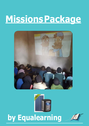# **MissionsPackage**





## **by Equalearning**

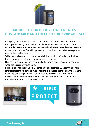

#### **MOBILE TECHNOLOGY THAT CREATES SUSTAINABLE AND INFLUENTIAL EVANGELISM**

Each year, about 264 million children and teenagers around the world do not have the opportunity to go to school or complete their studies. In various countries worldwide, missionaries venture to establish churches and peace-keeping missions to teach about Christ, first aid, hygiene, and other important information people need to live healthy lives.

While many missionaries live permanently in their regions of ministry, oftentimes they are only able to stay in country for several months.

How can we ensure that the Gospel and other key lessons remain in these areas when the missionary must leave?

Equalearning has the solution. By combining our patented EQL technology with smart projectors, we can help missions plant churches and schools anywhere in the world. Equalearning's Missions Package can help missions to deliver high quality content anywhere in the world, and plant churches and schools that will remain even if the missionary team cannot.







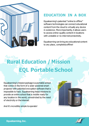

### **EDUCATION IN A BOX**

Equalearning's patented "online to offline" software technologies can connect educational content from the cloud to virtually any device in existence. More importantly, it allows users to access online-quality content in locations with unstable or no internetconnectivity.

Equalearning can bring any educational content to any place, completelyoffline!

## **Rural Education / Mission EQL Portable School**

Equalearning's missionpackage is a portable school that comes in the form of a solar-powered smart projector with patented encryption software that is impossible to hack. Equalearning helps missions to provide an entire school that is mobile ready for any location in the world, unrestricted by the need of electricity or the internet.

And it's incredibly simple to operate!



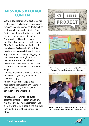#### **MISSIONS PACKAGE CONTENT**

Without good content, the best projector itself is just a big flashlight. Equalearning provides shared missions content, such as continuing to cooperate with the Bible Project and other institutions to provide the best content for missionaries. Equalearning will continue to put multilingual animations and videos of the Bible Project and other institutions into our Missions Package via SD card. Any missionary can do real-time missions at any time and any place by plugging into the smart projector. Right now, our partner, Iris Global, Zimbabwe's missionaries have begun to teach local children with the animation of the Bible Project.

Our Missions Package brings all forms of multimedia anywhere, anytime, for anyone to enjoy.

And our Missions Package is not restricted to the Gospel alone. Users are able to upload any material to bring education to the unreached.

Already, we are working on putting together material for teaching English, hygiene, first aid, wellness therapy, and skills training to help people improve their lives by the Grace of Our Lord Jesus Christ.





Children in Uganda attend class using EQL's Missions Package. The room has no electricity or internet.



Students learning about hygiene and first aid in an adult class inZimbabwe, using Equalearning's MissionsPackage.

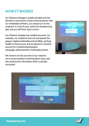#### **HOWITWORKS**

Our Missions Package is totally portable and has literally no restrictions. Using a smart projector with our embedded software, you simply turn on the projector in a low-lit area, select the Equalearning app, and you will find a log in screen.

Our Missions Package has multiple accounts. For example, we created an account and placed the gospel-related multimedia content(Bible, spiritual, health) in this account, and we placed it in another account for fundamentaleducation (language, skills) and other multimedia content.

We chose to do this as some of our missions are in areas sensitive to sharing about Jesus, and this protects the information which is already encrypted.





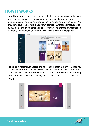#### **HOWITWORKS**

In addition to our free mission package content, churchesand organizations can also choose to create their own content on our cloud platform for their members to use. The creation of content on the cloud platform is very easy. We provide various tools to help the administrators of churches and institutions to quickly create and link to other network resources. The average course creation takes only 5 minutes and does not require the help from technical people.



The type of material you upload and place in each account is entirely up to you as the admin and/or user. Our missions package comes pre-loadedwith videos and custom lessons from The Bible Project, as well as text books for teaching English, Science, and some calming music videos for mission participants to enjoy.



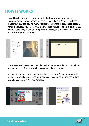#### **HOWITWORKS**

In addition to the entire video series, the Bible courses we provide in the Missions Package includes some series, such as "Luke and Acts", etc., placed in the form of courses, adding many interactive lessons to increase participation. As for the courses you create, you can choose to include textbooks, documents, videos, audio files, or any other types of materials, all of which can be viewed for free or played as a course.



The Mission Package comes preloaded with some material, but you can add as much as you like. It will always be encrypted but easy to access.

No matter what you plan to teach, whether it is Sunday School lessons on the Bible, or University courses that earn degrees, it can be safely and easily done using Equalearning's MissionsPackage.